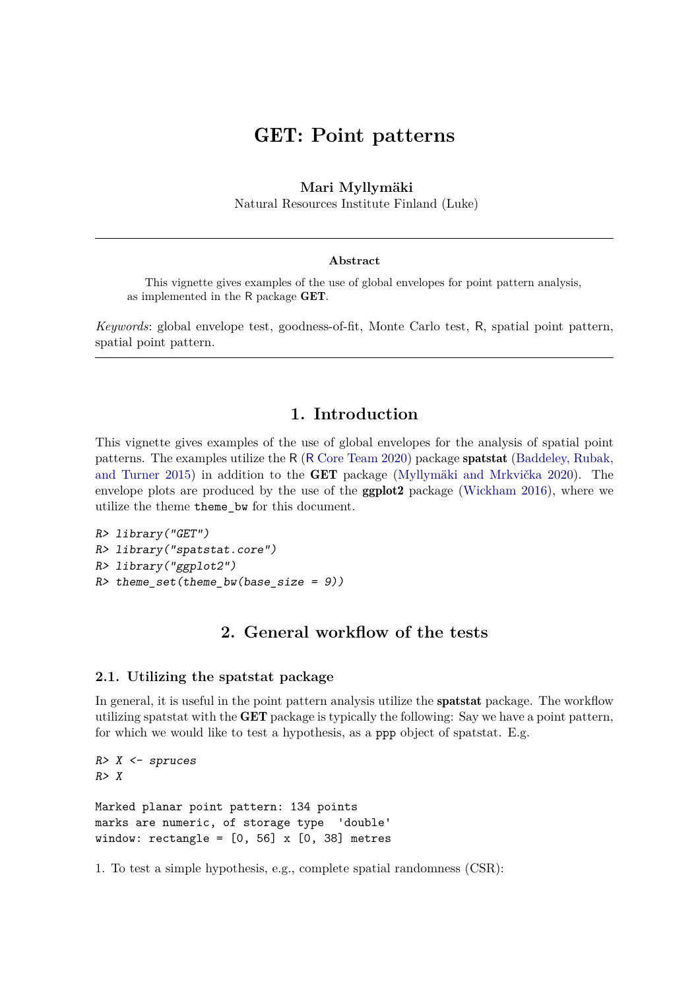# GET**: Point patterns**

### **Mari Myllymäki**

Natural Resources Institute Finland (Luke)

#### **Abstract**

This vignette gives examples of the use of global envelopes for point pattern analysis, as implemented in the R package GET.

*Keywords*: global envelope test, goodness-of-fit, Monte Carlo test, R, spatial point pattern, spatial point pattern.

## **1. Introduction**

This vignette gives examples of the use of global envelopes for the analysis of spatial point patterns. The examples utilize the R (R [Core Team 2020\)](#page-17-0) package spatstat [\(Baddeley, Rubak,](#page-16-0) [and Turner 2015\)](#page-16-0) in addition to the GET package [\(Myllymäki and Mrkvička 2020\)](#page-17-1). The envelope plots are produced by the use of the ggplot2 package [\(Wickham 2016\)](#page-17-2), where we utilize the theme theme\_bw for this document.

```
R> library("GET")
R> library("spatstat.core")
R> library("ggplot2")
R> theme_set(theme_bw(base_size = 9))
```
## **2. General workflow of the tests**

### **2.1. Utilizing the spatstat package**

In general, it is useful in the point pattern analysis utilize the spatstat package. The workflow utilizing spatstat with the GET package is typically the following: Say we have a point pattern, for which we would like to test a hypothesis, as a ppp object of spatstat. E.g.

```
R > X \leftarrow spruces
R> X
Marked planar point pattern: 134 points
marks are numeric, of storage type 'double'
window: rectangle = [0, 56] x [0, 38] metres
```
1. To test a simple hypothesis, e.g., complete spatial randomness (CSR):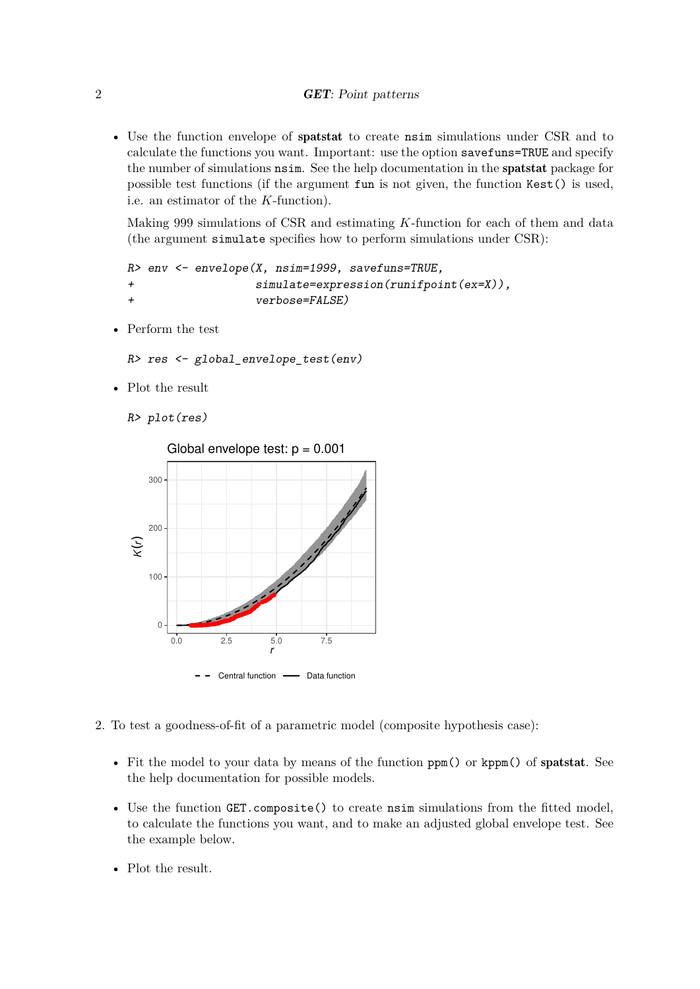• Use the function envelope of spatstat to create nsim simulations under CSR and to calculate the functions you want. Important: use the option savefuns=TRUE and specify the number of simulations nsim. See the help documentation in the spatstat package for possible test functions (if the argument fun is not given, the function Kest() is used, i.e. an estimator of the *K*-function).

Making 999 simulations of CSR and estimating *K*-function for each of them and data (the argument simulate specifies how to perform simulations under CSR):

```
R> env <- envelope(X, nsim=1999, savefuns=TRUE,
+ simulate=expression(runifpoint(ex=X)),
+ verbose=FALSE)
```
• Perform the test

```
R> res <- global_envelope_test(env)
```
• Plot the result

```
R> plot(res)
```


- 2. To test a goodness-of-fit of a parametric model (composite hypothesis case):
	- Fit the model to your data by means of the function ppm() or kppm() of spatstat. See the help documentation for possible models.
	- Use the function GET.composite() to create nsim simulations from the fitted model, to calculate the functions you want, and to make an adjusted global envelope test. See the example below.
	- Plot the result.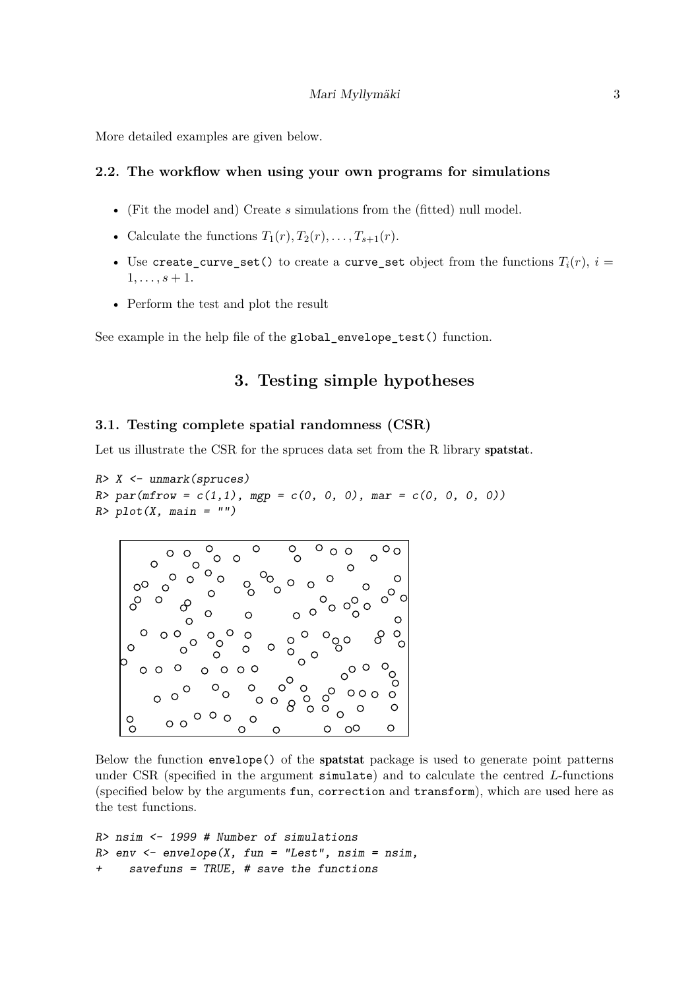More detailed examples are given below.

### **2.2. The workflow when using your own programs for simulations**

- (Fit the model and) Create *s* simulations from the (fitted) null model.
- Calculate the functions  $T_1(r), T_2(r), \ldots, T_{s+1}(r)$ .
- Use create\_curve\_set() to create a curve\_set object from the functions  $T_i(r)$ ,  $i =$  $1, \ldots, s + 1.$
- Perform the test and plot the result

See example in the help file of the global envelope test() function.

## **3. Testing simple hypotheses**

#### **3.1. Testing complete spatial randomness (CSR)**

Let us illustrate the CSR for the spruces data set from the R library spatstat.

```
R> X <- unmark(spruces)
R > par(mfrow = c(1,1), mgp = c(0, 0, 0), marr = c(0, 0, 0, 0))R> plot(X, main = "")
```


Below the function envelope() of the spatstat package is used to generate point patterns under CSR (specified in the argument simulate) and to calculate the centred *L*-functions (specified below by the arguments fun, correction and transform), which are used here as the test functions.

```
R> nsim <- 1999 # Number of simulations
R > env <- envelope(X, fun = "Lest", nsim = nsim,
     savefuns = TRUE, # save the functions
```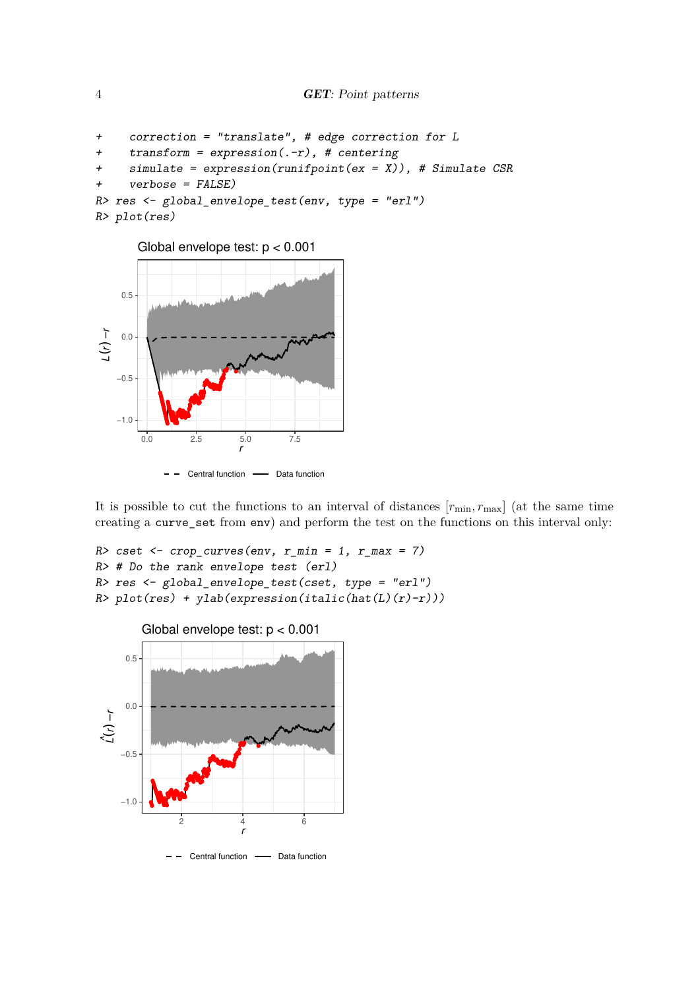```
+ correction = "translate", # edge correction for L
+ transform = expression(.-r), # centering
    simulate = expression(runifpoint(ex = X)), # Simulate CSR
     verbose = FALSE)R> res <- global_envelope_test(env, type = "erl")
R> plot(res)
```




It is possible to cut the functions to an interval of distances  $[r_{\min}, r_{\max}]$  (at the same time creating a curve\_set from env) and perform the test on the functions on this interval only:

```
R> cset \leq crop_curves(env, r_min = 1, r_max = 7)
R> # Do the rank envelope test (erl)
R> res <- global_envelope_test(cset, type = "erl")
R> plot(res) + ylab(expression(italic(hat(L)(r)-r)))
```
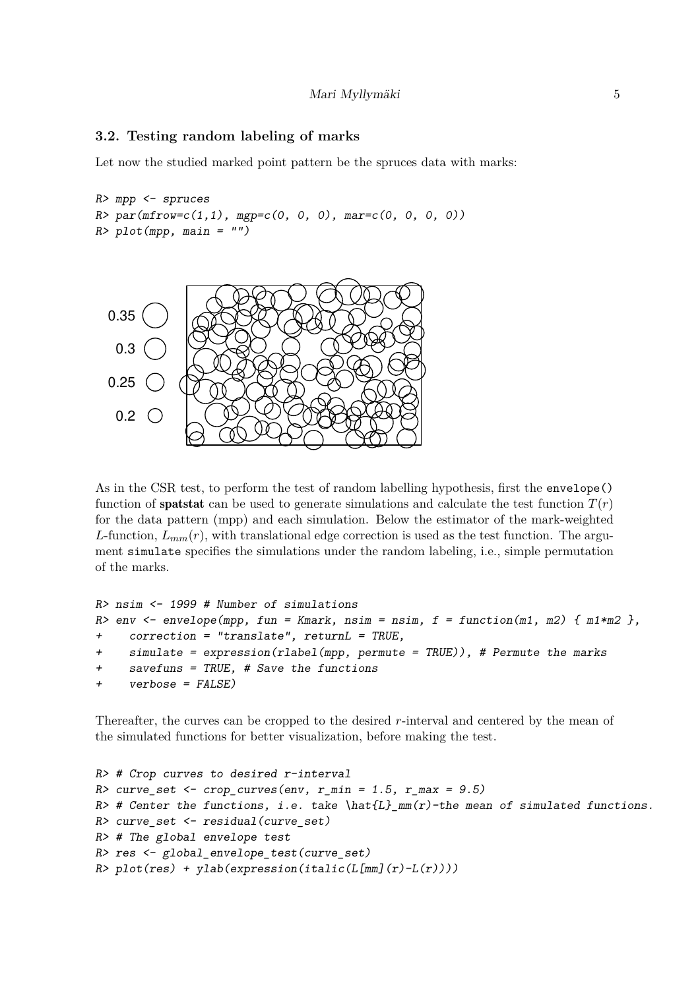### **3.2. Testing random labeling of marks**

Let now the studied marked point pattern be the spruces data with marks:

```
R> mpp <- spruces
R > par(mfrow=c(1,1), mp=c(0, 0, 0), mar=c(0, 0, 0, 0))R> plot(mpp, main = "")
```


As in the CSR test, to perform the test of random labelling hypothesis, first the envelope() function of **spatstat** can be used to generate simulations and calculate the test function  $T(r)$ for the data pattern (mpp) and each simulation. Below the estimator of the mark-weighted *L*-function,  $L_{mm}(r)$ , with translational edge correction is used as the test function. The argument simulate specifies the simulations under the random labeling, i.e., simple permutation of the marks.

```
R> nsim <- 1999 # Number of simulations
R> env <- envelope(mpp, fun = Kmark, nsim = nsim, f = function(m1, m2) { m1*m2},
+ correction = "translate", returnL = TRUE,
+ simulate = expression(rlabel(mpp, permute = TRUE)), # Permute the marks
+ savefuns = TRUE, # Save the functions
+ verbose = FALSE)
```
Thereafter, the curves can be cropped to the desired *r*-interval and centered by the mean of the simulated functions for better visualization, before making the test.

```
R> # Crop curves to desired r-interval
R> curve_set <- crop_curves(env, r_min = 1.5, r_max = 9.5)
R> # Center the functions, i.e. take \hat{L}_mm(r)-the mean of simulated functions.
R> curve_set <- residual(curve_set)
R> # The global envelope test
R> res <- global_envelope_test(curve_set)
R> plot(res) + ylab(expression(italic(L[mm](r)-L(r))))
```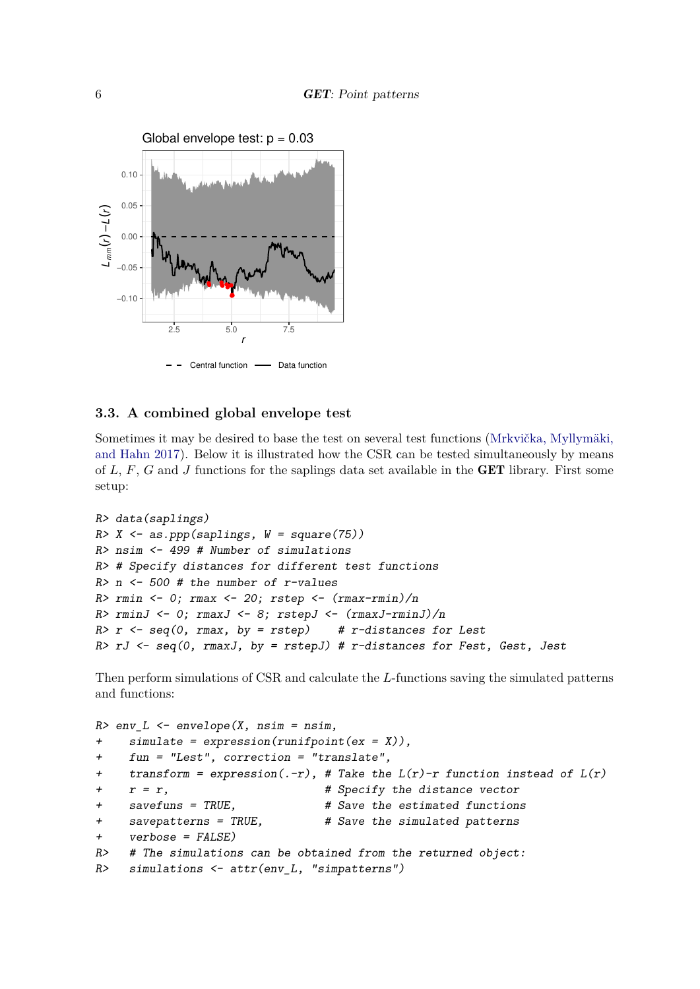

### **3.3. A combined global envelope test**

Sometimes it may be desired to base the test on several test functions [\(Mrkvička, Myllymäki,](#page-16-1) [and Hahn 2017\)](#page-16-1). Below it is illustrated how the CSR can be tested simultaneously by means of *L*, *F*, *G* and *J* functions for the saplings data set available in the GET library. First some setup:

```
R> data(saplings)
R > X \leftarrow as.ppp(saplings, W = square(75))R> nsim <- 499 # Number of simulations
R> # Specify distances for different test functions
R> n <- 500 # the number of r-values
R> rmin <- 0; rmax <- 20; rstep <- (rmax-rmin)/nR> rminJ <- 0; rmaxJ <- 8; rstepJ <- (rmaxJ-rminJ)/n
R> r <- seq(0, rmax, by = rstep) # r-distances for Lest
R> rJ <- seq(0, rmaxJ, by = rstepJ) # r-distances for Fest, Gest, Jest
```
Then perform simulations of CSR and calculate the *L*-functions saving the simulated patterns and functions:

```
R > env\_L \leftarrow envelope(X, nsim = nsim,simulate = expression(runifpoint(ex = X)),+ fun = "Lest", correction = "translate",
+ transform = expression(.-r), # Take the L(r)-r function instead of L(r)+ r = r, # Specify the distance vector
+ savefuns = TRUE, \qquad # Save the estimated functions
+ savepatterns = TRUE, # Save the simulated patterns
+ verbose = FALSE)
R> # The simulations can be obtained from the returned object:
R> simulations <- attr(env_L, "simpatterns")
```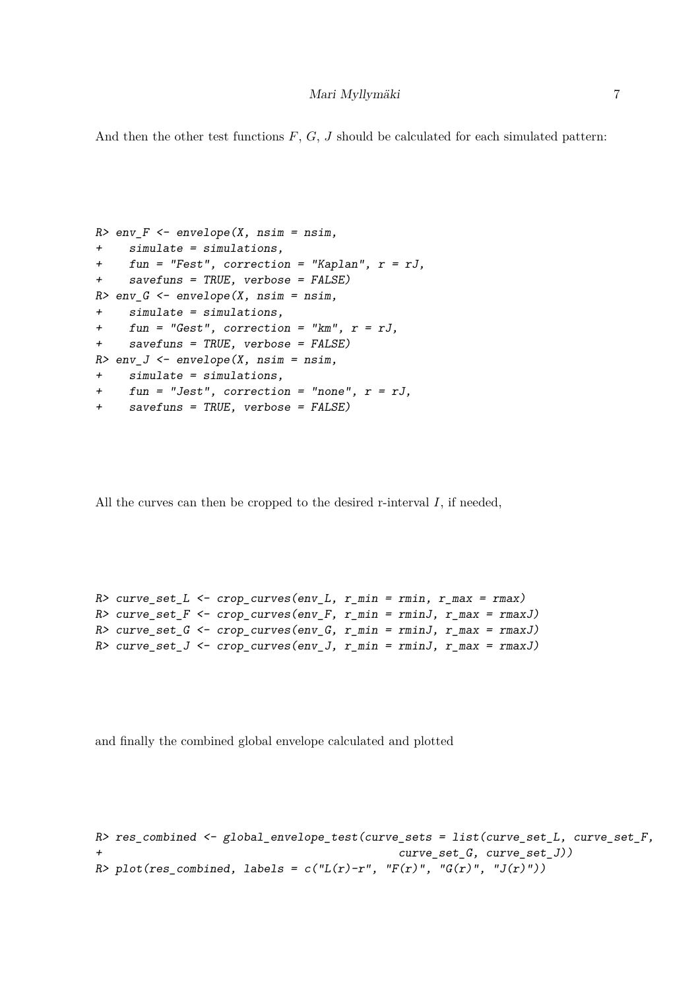And then the other test functions *F*, *G*, *J* should be calculated for each simulated pattern:

```
R env F <- envelope(X, nsim = nsim,
+ simulate = simulations,
+ fun = "Fest", correction = "Kaplan", r = rJ,
+ savefuns = TRUE, verbose = FALSE)
R > env_G < - envelope(X, nsim = nsim,
+ simulate = simulations,
+ fun = "Gest", correction = "km", r = rJ,
+ savefuns = TRUE, verbose = FALSE)
R> env_J \leftarrow envelope(X, nsim = nsim,+ simulate = simulations,
+ fun = "Jest", correction = "none", r = rJ,
+ savefuns = TRUE, verbose = FALSE)
```
All the curves can then be cropped to the desired r-interval *I*, if needed,

```
R> curve_set_L <- crop_curves(env_L, r_min = rmin, r_max = rmax)
R> curve_set_F <- crop_curves(env_F, r_min = rminJ, r_max = rmaxJ)
R> curve_set_G <- crop_curves(env_G, r_min = rminJ, r_max = rmaxJ)
R> curve_set_J <- crop_curves(env_J, r_min = rminJ, r_max = rmaxJ)
```
and finally the combined global envelope calculated and plotted

```
R> res_combined \leq global_envelope_test(curve_sets = list(curve_set_L, curve_set_F,
+ curve_set_G, curve_set_J))
R> plot(res_combined, labels = c("L(r)-r", "F(r)", "G(r)", "J(r)"))
```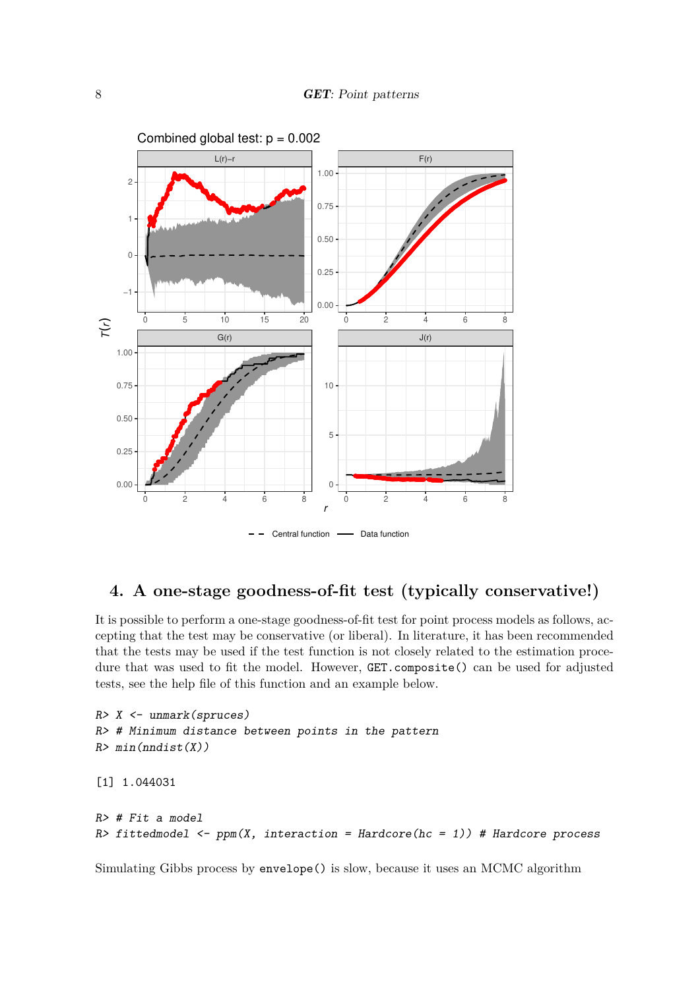

## **4. A one-stage goodness-of-fit test (typically conservative!)**

It is possible to perform a one-stage goodness-of-fit test for point process models as follows, accepting that the test may be conservative (or liberal). In literature, it has been recommended that the tests may be used if the test function is not closely related to the estimation procedure that was used to fit the model. However, GET.composite() can be used for adjusted tests, see the help file of this function and an example below.

```
R> X <- unmark(spruces)
R> # Minimum distance between points in the pattern
R> min(mdist(X))[1] 1.044031
R \neq Fit a model
R> fittedmodel \leq ppm(X, interaction = Hardcore(hc = 1)) # Hardcore process
```
Simulating Gibbs process by envelope() is slow, because it uses an MCMC algorithm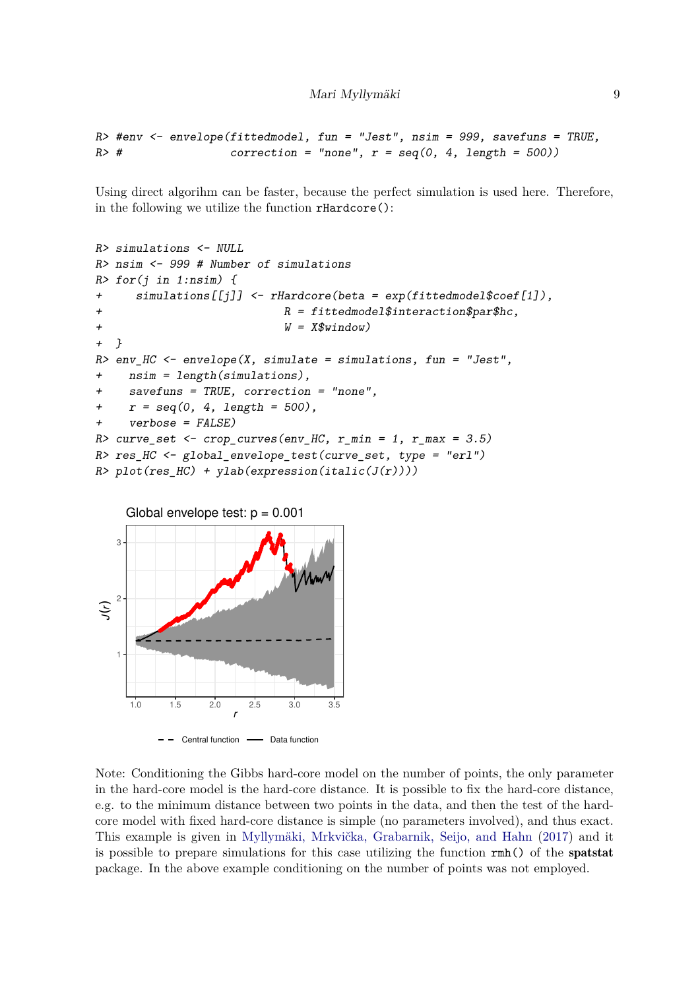```
R> #env <- envelope(fittedmodel, fun = "Jest", nsim = 999, savefuns = TRUE,
R \neq \neq \neq \neq \neq \neq \neq \neq \neq \neq \neq \neq \neq \neq \neq \neq \neq \neq \neq \neq \neq \neq \neq \neq \neq \neq \neq \neq \neq \neq \neq \neq \neq \neq \neq \neq
```
Using direct algorihm can be faster, because the perfect simulation is used here. Therefore, in the following we utilize the function rHardcore():

```
R> simulations <- NULL
R> nsim <- 999 # Number of simulations
R> for(i in 1:nsim) {
+ simulations[[j]] <- rHardcore(beta = exp(fittedmodel$coef[1]),
+ R = fittedmodel$interaction$par$hc,
+ W = X\window)
+ }
R > env_HC <- envelope(X, simulate = simulations, fun = "Jest",
    nsim = length(simulations),
+ savefuns = TRUE, correction = "none",
+ r = \text{seq}(0, 4, \text{length} = 500),
+ verbose = FALSE)
R> curve_set <- crop_curves(env_HC, r_min = 1, r_max = 3.5)
R> res_HC <- global_envelope_test(curve_set, type = "erl")
R> plot(res_HC) + ylab(expression(italic(J(r))))
```


Note: Conditioning the Gibbs hard-core model on the number of points, the only parameter in the hard-core model is the hard-core distance. It is possible to fix the hard-core distance, e.g. to the minimum distance between two points in the data, and then the test of the hardcore model with fixed hard-core distance is simple (no parameters involved), and thus exact. This example is given in [Myllymäki, Mrkvička, Grabarnik, Seijo, and Hahn](#page-17-3) [\(2017\)](#page-17-3) and it is possible to prepare simulations for this case utilizing the function rmh() of the spatstat package. In the above example conditioning on the number of points was not employed.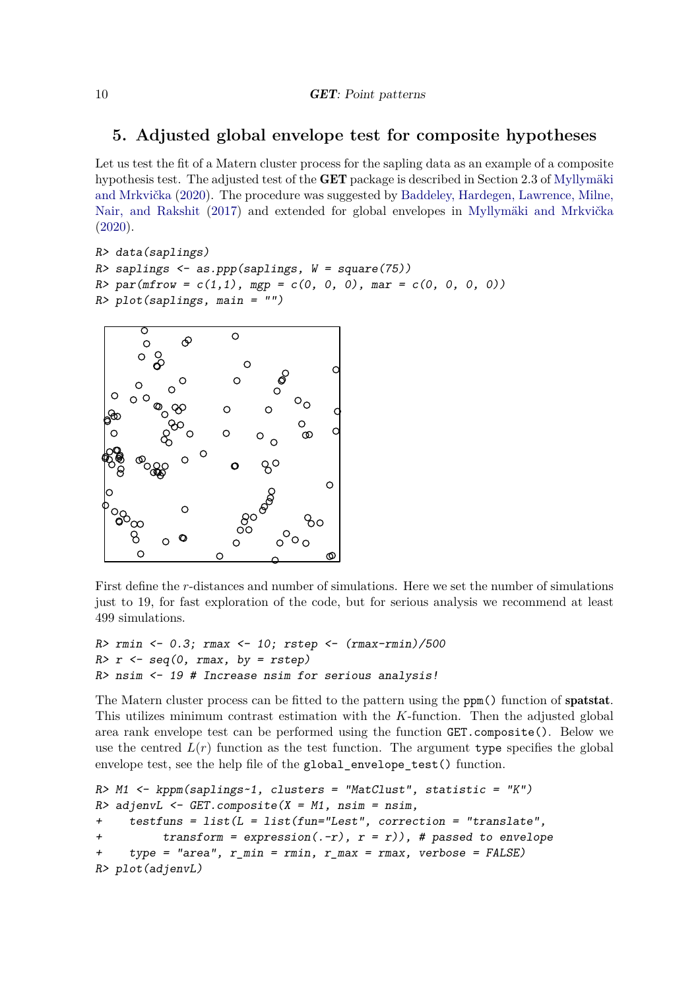## **5. Adjusted global envelope test for composite hypotheses**

Let us test the fit of a Matern cluster process for the sapling data as an example of a composite hypothesis test. The adjusted test of the GET package is described in Section 2.3 of [Myllymäki](#page-17-1) [and Mrkvička](#page-17-1) [\(2020\)](#page-17-1). The procedure was suggested by [Baddeley, Hardegen, Lawrence, Milne,](#page-16-2) [Nair, and Rakshit](#page-16-2) [\(2017\)](#page-16-2) and extended for global envelopes in [Myllymäki and Mrkvička](#page-17-1) [\(2020\)](#page-17-1).

```
R> data(saplings)
R> saplings \leq as.ppp(saplings, W = square(75))
R > par(mfrow = c(1,1), mgp = c(0, 0, 0), mar = c(0, 0, 0, 0))R> plot(saplings, main = "")
```


First define the *r*-distances and number of simulations. Here we set the number of simulations just to 19, for fast exploration of the code, but for serious analysis we recommend at least 499 simulations.

```
R> rmin <- 0.3; rmax <- 10; rstep <- (rmax-rmin)/500
R > r <- seq(0, rmax, by = rstep)
R> nsim <- 19 # Increase nsim for serious analysis!
```
The Matern cluster process can be fitted to the pattern using the ppm() function of spatstat. This utilizes minimum contrast estimation with the *K*-function. Then the adjusted global area rank envelope test can be performed using the function GET.composite(). Below we use the centred  $L(r)$  function as the test function. The argument type specifies the global envelope test, see the help file of the global\_envelope\_test() function.

```
R> M1 <- kppm(saplings~1, clusters = "MatClust", statistic = "K")
R> adjenvL <- GET.composite(X = M1, nsim = nsim,
+ testfuns = list(L = list(fun="Lest", correction = "translate",
          transform = expression(.-r), r = r)), # passed to envelope
+ type = "area", r_min = rmin, r_max = rmax, verbose = FALSE)
R> plot(adjenvL)
```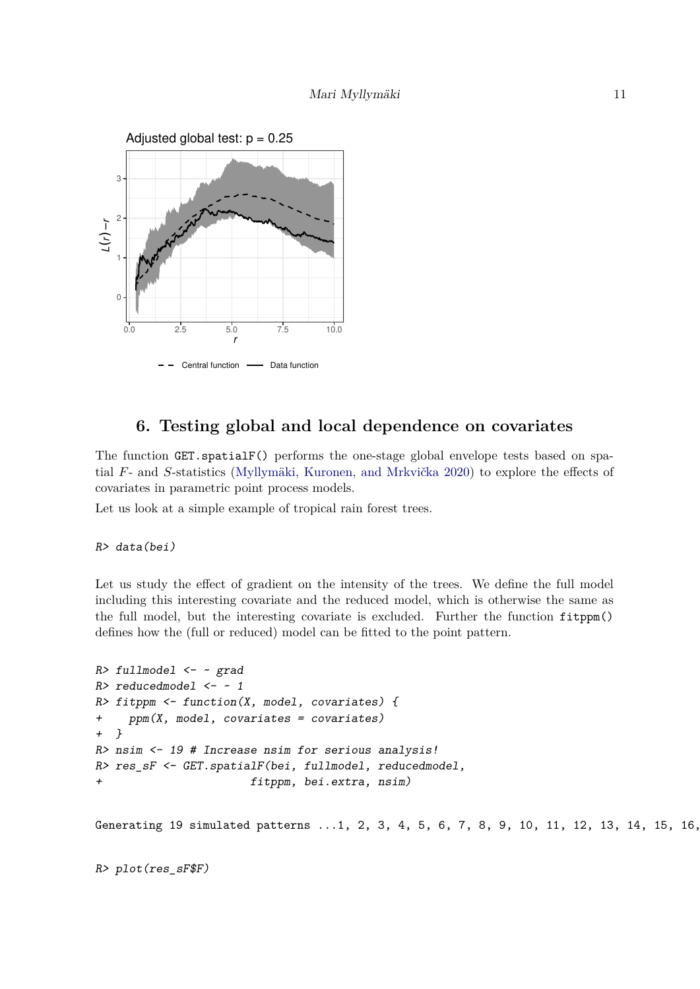

## **6. Testing global and local dependence on covariates**

The function GET.spatialF() performs the one-stage global envelope tests based on spatial *F*- and *S*-statistics [\(Myllymäki, Kuronen, and Mrkvička 2020\)](#page-17-4) to explore the effects of covariates in parametric point process models.

Let us look at a simple example of tropical rain forest trees.

#### R> data(bei)

Let us study the effect of gradient on the intensity of the trees. We define the full model including this interesting covariate and the reduced model, which is otherwise the same as the full model, but the interesting covariate is excluded. Further the function fitppm() defines how the (full or reduced) model can be fitted to the point pattern.

```
R> fullmodel <- ~ grad
R> reducedmodel <- ~ 1
R> fitppm <- function(X, model, covariates) {
+ ppm(X, model, covariates = covariates)
+ }
R> nsim <- 19 # Increase nsim for serious analysis!
R> res_sF <- GET.spatialF(bei, fullmodel, reducedmodel,
+ fitppm, bei.extra, nsim)
Generating 19 simulated patterns ...1, 2, 3, 4, 5, 6, 7, 8, 9, 10, 11, 12, 13, 14, 15, 16,
```
R> plot(res\_sF\$F)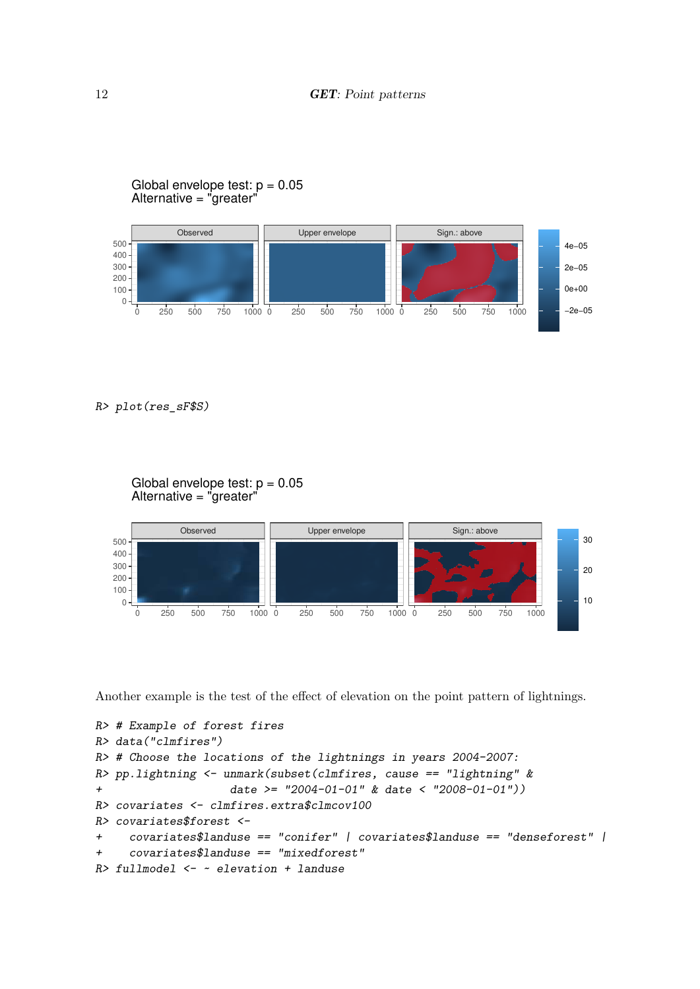### Global envelope test:  $p = 0.05$ Alternative = "greater"



R> plot(res\_sF\$S)



Another example is the test of the effect of elevation on the point pattern of lightnings.

```
R> # Example of forest fires
R> data("clmfires")
R> # Choose the locations of the lightnings in years 2004-2007:
R> pp.lightning <- unmark(subset(clmfires, cause == "lightning" &
+ date >= "2004-01-01" & date < "2008-01-01"))
R> covariates <- clmfires.extra$clmcov100
R> covariates$forest <-
+ covariates$landuse == "conifer" | covariates$landuse == "denseforest" |
+ covariates$landuse == "mixedforest"
R> fullmodel \leq ~ elevation + landuse
```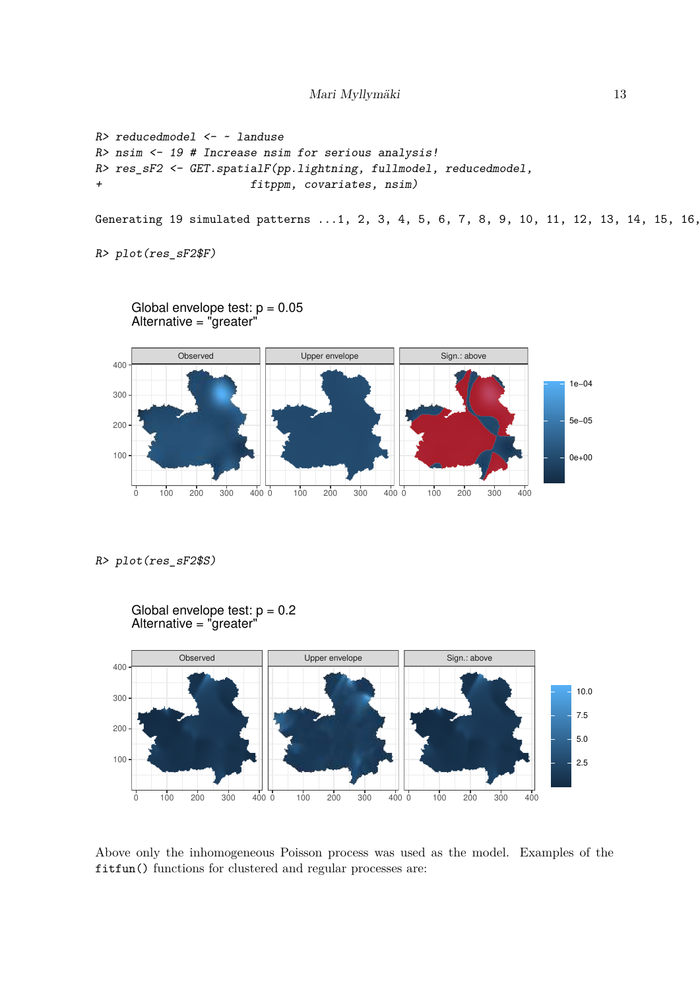```
R> reducedmodel <- ~ landuse
R> nsim <- 19 # Increase nsim for serious analysis!
R> res_sF2 <- GET.spatialF(pp.lightning, fullmodel, reducedmodel,
+ fitppm, covariates, nsim)
```

```
Generating 19 simulated patterns ...1, 2, 3, 4, 5, 6, 7, 8, 9, 10, 11, 12, 13, 14, 15, 16,
```

```
R> plot(res_sF2$F)
```


R> plot(res\_sF2\$S)



Above only the inhomogeneous Poisson process was used as the model. Examples of the fitfun() functions for clustered and regular processes are: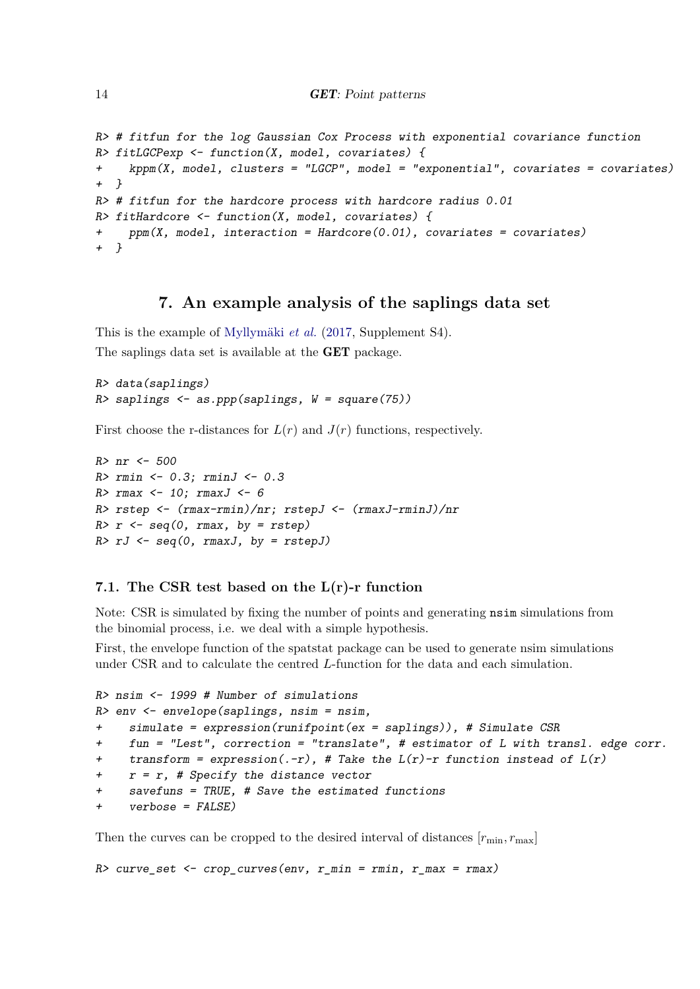```
R> # fitfun for the log Gaussian Cox Process with exponential covariance function
R> fitLGCPexp <- function(X, model, covariates) {
+ kppm(X, model, clusters = "LGCP", model = "exponential", covariates = covariates)
+ }
R> # fitfun for the hardcore process with hardcore radius 0.01
R> fitHardcore <- function(X, model, covariates) {
+ ppm(X, model, interaction = Hardcore(0.01), covariates = covariates)
+ }
```
### **7. An example analysis of the saplings data set**

This is the example of [Myllymäki](#page-17-3) *et al.* [\(2017,](#page-17-3) Supplement S4). The saplings data set is available at the GET package.

```
R> data(saplings)
R> saplings <- as.ppp(saplings, W = square(75))
```
First choose the r-distances for  $L(r)$  and  $J(r)$  functions, respectively.

```
R> nr <- 500
R > rmin \leftarrow 0.3; rminJ \leftarrow 0.3R> rmax \leftarrow 10; rmaxJ \leftarrow 6
R> rstep <- (rmax-rmin)/nr; rstepJ <- (rmaxJ-rminJ)/nr
R> r <- seq(0, rmax, by = rstep)
R > rJ \leftarrow seq(0, rmaxJ, by = rstepJ)
```
### **7.1. The CSR test based on the L(r)-r function**

Note: CSR is simulated by fixing the number of points and generating nsim simulations from the binomial process, i.e. we deal with a simple hypothesis.

First, the envelope function of the spatstat package can be used to generate nsim simulations under CSR and to calculate the centred *L*-function for the data and each simulation.

```
R> nsim <- 1999 # Number of simulations
R> env <- envelope(saplings, nsim = nsim,
+ simulate = expression(runifpoint(ex = saplings)), # Simulate CSR
+ fun = "Lest", correction = "translate", # estimator of L with transl. edge corr.
+ transform = expression(.-r), # Take the L(r)-r function instead of L(r)+ r = r, # Specify the distance vector
    savefuns = TRUE, # Save the estimated functions+ verbose = FALSE)
```
Then the curves can be cropped to the desired interval of distances  $[r_{\min}, r_{\max}]$ 

R> curve\_set  $\leq$  - crop\_curves(env, r\_min = rmin, r\_max = rmax)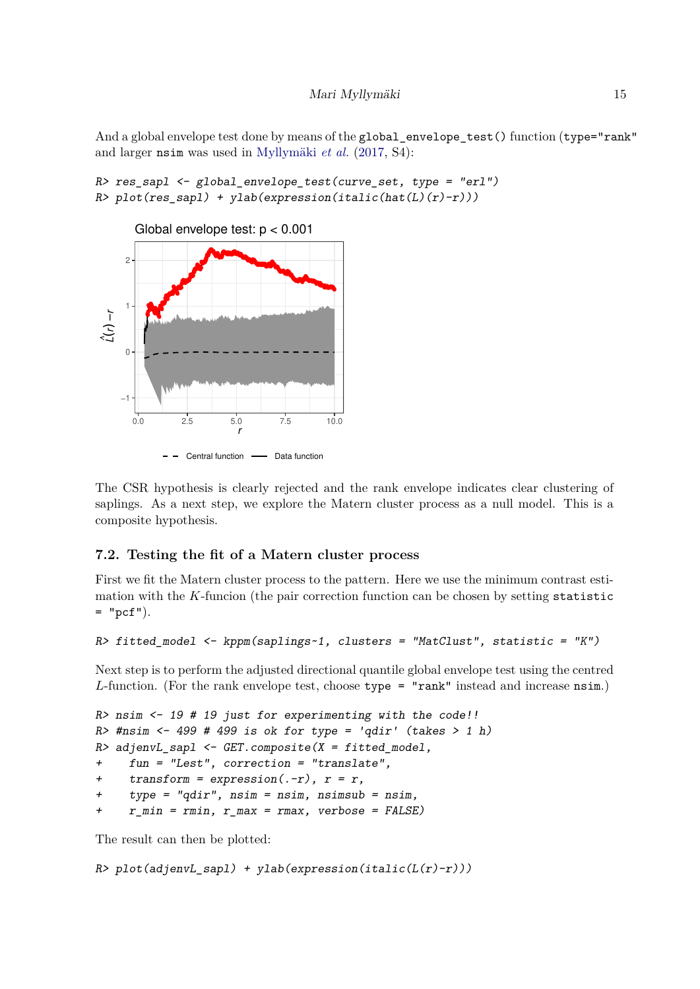And a global envelope test done by means of the global envelope test () function (type="rank" and larger nsim was used in [Myllymäki](#page-17-3) *et al.* [\(2017,](#page-17-3) S4):

```
R> res_sapl <- global_envelope_test(curve_set, type = "erl")
R> plot(res_sapl) + ylab(expression(italic(hat(L)(r)-r)))
```


The CSR hypothesis is clearly rejected and the rank envelope indicates clear clustering of saplings. As a next step, we explore the Matern cluster process as a null model. This is a composite hypothesis.

### **7.2. Testing the fit of a Matern cluster process**

First we fit the Matern cluster process to the pattern. Here we use the minimum contrast estimation with the *K*-funcion (the pair correction function can be chosen by setting statistic  $=$  "pcf").

```
R> fitted_model <- kppm(saplings~1, clusters = "MatClust", statistic = "K")
```
Next step is to perform the adjusted directional quantile global envelope test using the centred *L*-function. (For the rank envelope test, choose type = "rank" instead and increase nsim.)

```
R> nsim <- 19 # 19 just for experimenting with the code!!
R> #nsim \leftarrow 499 # 499 is ok for type = 'qdir' (takes > 1 h)
R> adjenvL_sapl <- GET.composite(X = fitted_model,
+ fun = "Lest", correction = "translate",
+ transform = expression(\cdot-r), r = r,
+ type = "qdir", nsim = nsim, nsimsub = nsim,
+ r_min = rmin, r_max = rmax, verbose = FALSE)
```
The result can then be plotted:

```
R> plot(adjenvL_sapl) + ylab(expression(italic(L(r)-r)))
```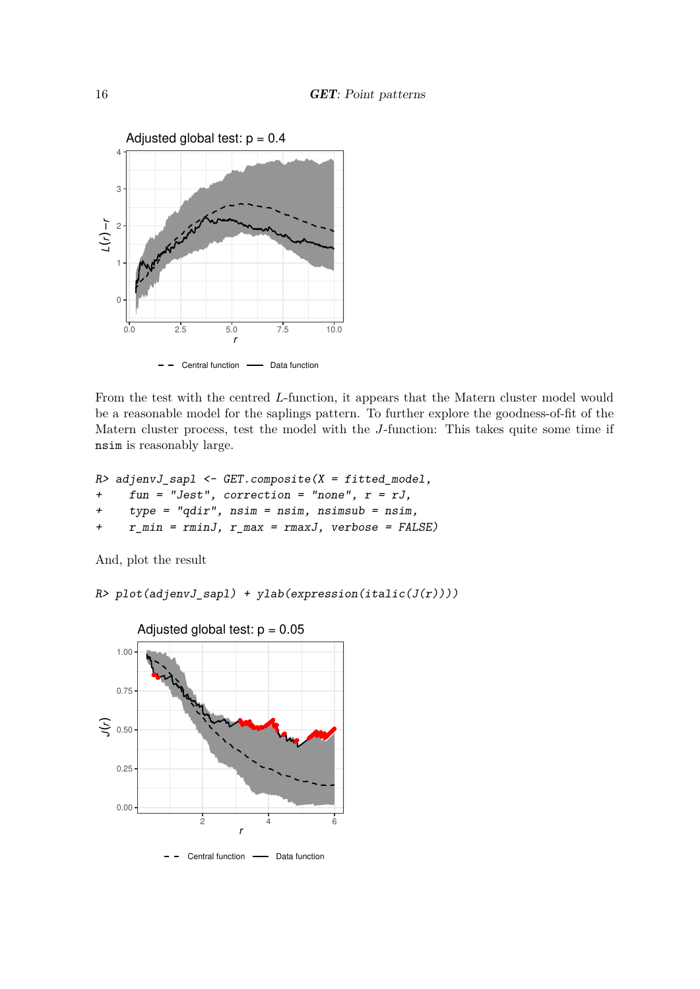

From the test with the centred *L*-function, it appears that the Matern cluster model would be a reasonable model for the saplings pattern. To further explore the goodness-of-fit of the Matern cluster process, test the model with the *J*-function: This takes quite some time if nsim is reasonably large.

```
R> adjenvJ_sapl <- GET.composite(X = fitted_model,
```
- + fun = "Jest", correction = "none", r = rJ,
- + type = "qdir", nsim = nsim, nsimsub = nsim,
- + r\_min = rminJ, r\_max = rmaxJ, verbose = FALSE)

And, plot the result

R> plot(adjenvJ\_sapl) + ylab(expression(italic(J(r))))

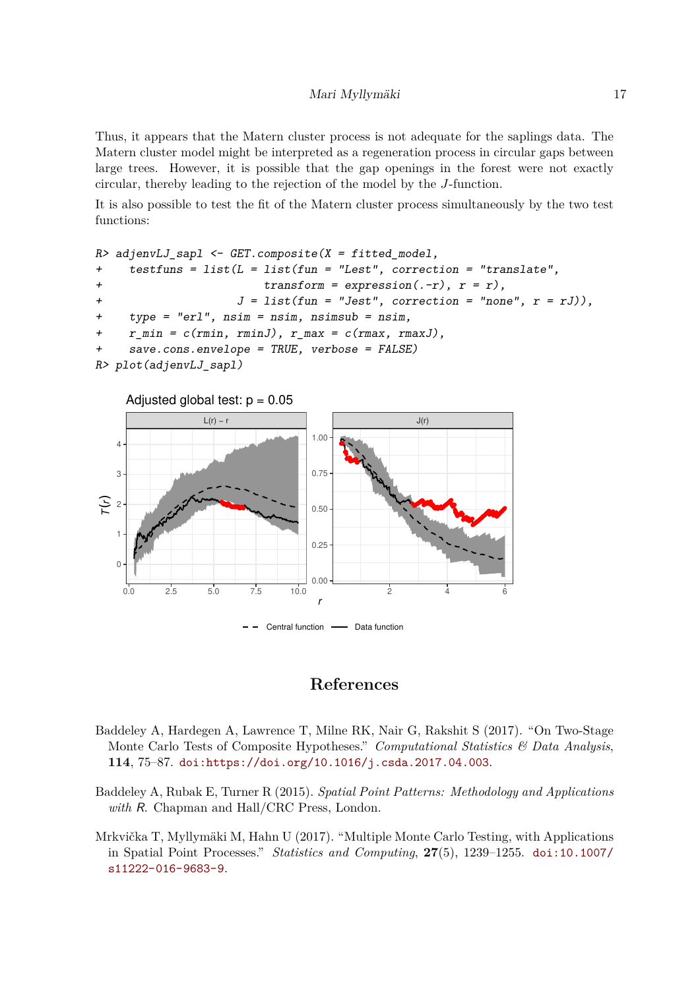Thus, it appears that the Matern cluster process is not adequate for the saplings data. The Matern cluster model might be interpreted as a regeneration process in circular gaps between large trees. However, it is possible that the gap openings in the forest were not exactly circular, thereby leading to the rejection of the model by the *J*-function.

It is also possible to test the fit of the Matern cluster process simultaneously by the two test functions:

```
R> adjenvLJ sapl <- GET.composite(X = fitted model,
    testfuns = list(L = list(fun = "Last", correction = "translation",+ transform = expression(. - r), r = r),+ J = list(fun = "Jest", correction = "none", r = rJ)),+ type = "erl", nsim = nsim, nsimsub = nsim,
    r_{min} = c(rmin, rminJ), r_{max} = c(rmax, rmaxJ),save.cons.envelope = TRUE, verbose = FALSE)
R> plot(adjenvLJ_sapl)
```


### **References**

- <span id="page-16-2"></span>Baddeley A, Hardegen A, Lawrence T, Milne RK, Nair G, Rakshit S (2017). "On Two-Stage Monte Carlo Tests of Composite Hypotheses." *Computational Statistics & Data Analysis*, **114**, 75–87. [doi:https://doi.org/10.1016/j.csda.2017.04.003](https://doi.org/https://doi.org/10.1016/j.csda.2017.04.003).
- <span id="page-16-0"></span>Baddeley A, Rubak E, Turner R (2015). *Spatial Point Patterns: Methodology and Applications with* R. Chapman and Hall/CRC Press, London.
- <span id="page-16-1"></span>Mrkvička T, Myllymäki M, Hahn U (2017). "Multiple Monte Carlo Testing, with Applications in Spatial Point Processes." *Statistics and Computing*, **27**(5), 1239–1255. [doi:10.1007/](https://doi.org/10.1007/s11222-016-9683-9) [s11222-016-9683-9](https://doi.org/10.1007/s11222-016-9683-9).